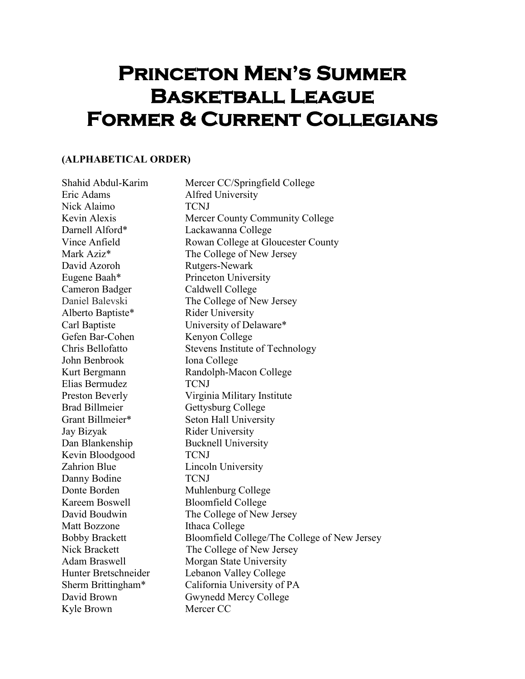## **PRINCETON MEN'S SUMMER Basketball League Former & Current Collegians**

## **(ALPHABETICAL ORDER)**

| Shahid Abdul-Karim    | Mercer CC/Springfield College                |
|-----------------------|----------------------------------------------|
| Eric Adams            | <b>Alfred University</b>                     |
| Nick Alaimo           | <b>TCNJ</b>                                  |
| Kevin Alexis          | Mercer County Community College              |
| Darnell Alford*       | Lackawanna College                           |
| Vince Anfield         | Rowan College at Gloucester County           |
| Mark Aziz*            | The College of New Jersey                    |
| David Azoroh          | Rutgers-Newark                               |
| Eugene Baah*          | Princeton University                         |
| Cameron Badger        | Caldwell College                             |
| Daniel Balevski       | The College of New Jersey                    |
| Alberto Baptiste*     | <b>Rider University</b>                      |
| Carl Baptiste         | University of Delaware*                      |
| Gefen Bar-Cohen       | Kenyon College                               |
| Chris Bellofatto      | Stevens Institute of Technology              |
| John Benbrook         | Iona College                                 |
| Kurt Bergmann         | Randolph-Macon College                       |
| Elias Bermudez        | <b>TCNJ</b>                                  |
| Preston Beverly       | Virginia Military Institute                  |
| <b>Brad Billmeier</b> | Gettysburg College                           |
| Grant Billmeier*      | Seton Hall University                        |
| Jay Bizyak            | <b>Rider University</b>                      |
| Dan Blankenship       | <b>Bucknell University</b>                   |
| Kevin Bloodgood       | <b>TCNJ</b>                                  |
| Zahrion Blue          | Lincoln University                           |
| Danny Bodine          | <b>TCNJ</b>                                  |
| Donte Borden          | Muhlenburg College                           |
| Kareem Boswell        | <b>Bloomfield College</b>                    |
| David Boudwin         | The College of New Jersey                    |
| <b>Matt Bozzone</b>   | Ithaca College                               |
| <b>Bobby Brackett</b> | Bloomfield College/The College of New Jersey |
| <b>Nick Brackett</b>  | The College of New Jersey                    |
| Adam Braswell         | Morgan State University                      |
| Hunter Bretschneider  | Lebanon Valley College                       |
| Sherm Brittingham*    | California University of PA                  |
| David Brown           | Gwynedd Mercy College                        |
| Kyle Brown            | Mercer CC                                    |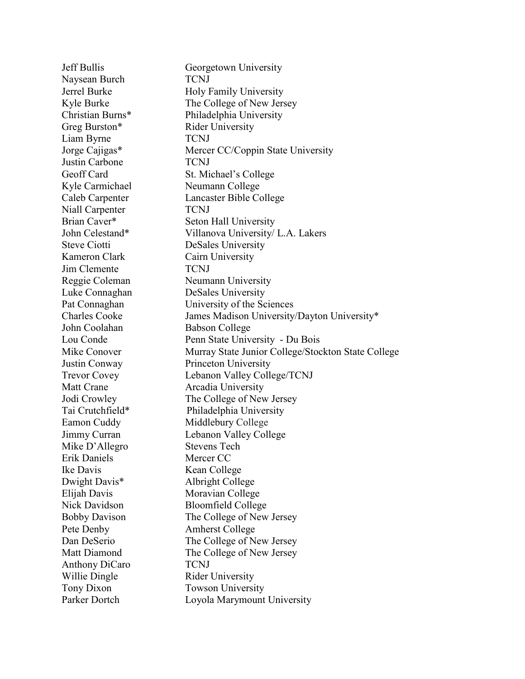Jeff Bullis Georgetown University Naysean Burch TCNJ Jerrel Burke Holy Family University Kyle Burke The College of New Jersey Christian Burns\* Philadelphia University Greg Burston\* Rider University Liam Byrne TCNJ Jorge Cajigas\* Mercer CC/Coppin State University Justin Carbone TCNJ Geoff Card St. Michael's College Kyle Carmichael Neumann College Caleb Carpenter Lancaster Bible College Niall Carpenter TCNJ Brian Caver\* Seton Hall University John Celestand\* Villanova University/ L.A. Lakers Steve Ciotti DeSales University Kameron Clark Cairn University Jim Clemente TCNJ Reggie Coleman Neumann University Luke Connaghan DeSales University Pat Connaghan University of the Sciences Charles Cooke James Madison University/Dayton University\* John Coolahan Babson College Lou Conde Penn State University - Du Bois Mike Conover Murray State Junior College/Stockton State College Justin Conway Princeton University Trevor Covey Lebanon Valley College/TCNJ Matt Crane **Arcadia University** Jodi Crowley The College of New Jersey Tai Crutchfield\* Philadelphia University Eamon Cuddy Middlebury College Jimmy Curran Lebanon Valley College Mike D'Allegro Stevens Tech Erik Daniels Mercer CC Ike Davis Kean College Dwight Davis\* Albright College Elijah Davis Moravian College Nick Davidson Bloomfield College Bobby Davison The College of New Jersey Pete Denby Amherst College Dan DeSerio The College of New Jersey Matt Diamond The College of New Jersey Anthony DiCaro TCNJ Willie Dingle Rider University Tony Dixon Towson University Parker Dortch Loyola Marymount University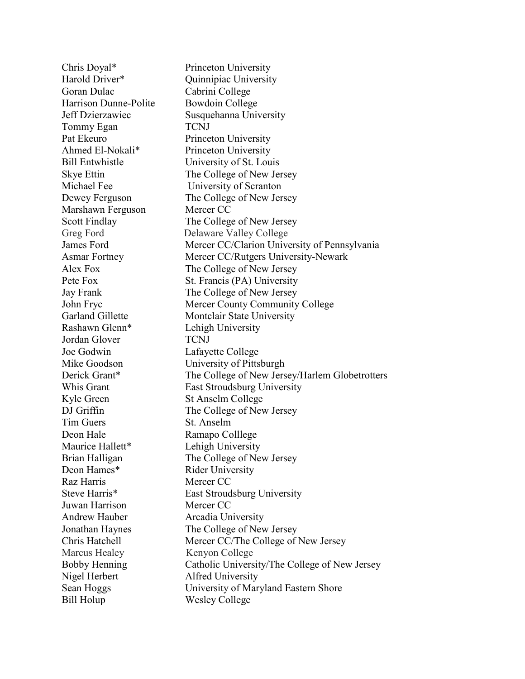Chris Doyal\* Princeton University Harold Driver\* Quinnipiac University Goran Dulac Cabrini College Harrison Dunne-Polite Bowdoin College Jeff Dzierzawiec Susquehanna University Tommy Egan TCNJ Pat Ekeuro Princeton University Ahmed El-Nokali\* Princeton University Bill Entwhistle University of St. Louis Skye Ettin The College of New Jersey Michael Fee University of Scranton Dewey Ferguson The College of New Jersey Marshawn Ferguson Mercer CC Scott Findlay The College of New Jersey Greg Ford Delaware Valley College James Ford Mercer CC/Clarion University of Pennsylvania Asmar Fortney Mercer CC/Rutgers University-Newark Alex Fox The College of New Jersey Pete Fox St. Francis (PA) University Jay Frank The College of New Jersey John Fryc Mercer County Community College Garland Gillette Montclair State University Rashawn Glenn\* Lehigh University Jordan Glover TCNJ Joe Godwin Lafayette College Mike Goodson University of Pittsburgh Derick Grant\* The College of New Jersey/Harlem Globetrotters Whis Grant East Stroudsburg University Kyle Green St Anselm College DJ Griffin The College of New Jersey Tim Guers St. Anselm Deon Hale Ramapo Colllege Maurice Hallett\* Lehigh University Brian Halligan The College of New Jersey Deon Hames\* Rider University Raz Harris Mercer CC Steve Harris\* East Stroudsburg University Juwan Harrison Mercer CC Andrew Hauber Arcadia University Jonathan Haynes The College of New Jersey Chris Hatchell Mercer CC/The College of New Jersey Marcus Healey Kenyon College Bobby Henning Catholic University/The College of New Jersey Nigel Herbert Alfred University Sean Hoggs University of Maryland Eastern Shore Bill Holup Wesley College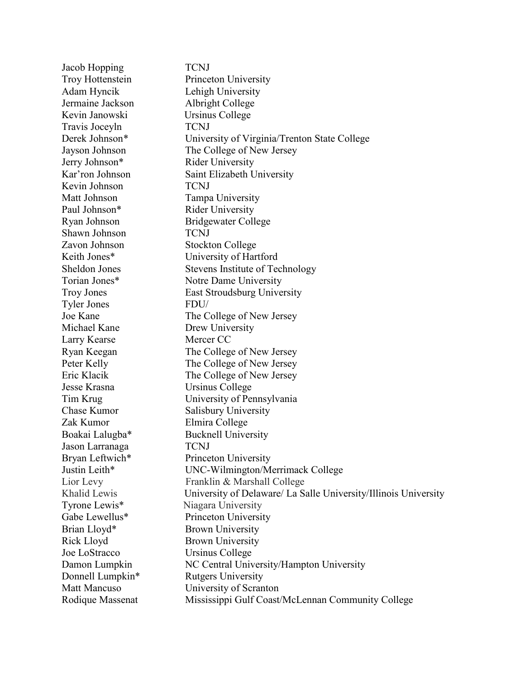Jacob Hopping TCNJ Troy Hottenstein Princeton University Adam Hyncik Lehigh University Jermaine Jackson Albright College Kevin Janowski Ursinus College Travis Joceyln TCNJ Derek Johnson\* University of Virginia/Trenton State College Jayson Johnson The College of New Jersey Jerry Johnson\* Rider University Kar'ron Johnson Saint Elizabeth University Kevin Johnson TCNJ Matt Johnson Tampa University Paul Johnson\* Rider University Ryan Johnson Bridgewater College Shawn Johnson TCNJ Zavon Johnson Stockton College Keith Jones\* University of Hartford Sheldon Jones Stevens Institute of Technology Torian Jones\* Notre Dame University Troy Jones East Stroudsburg University Tyler Jones FDU/ Joe Kane The College of New Jersey Michael Kane Drew University Larry Kearse Mercer CC Ryan Keegan The College of New Jersey Peter Kelly The College of New Jersey Eric Klacik The College of New Jersey Jesse Krasna Ursinus College Tim Krug University of Pennsylvania Chase Kumor Salisbury University Zak Kumor Elmira College Boakai Lalugba\* Bucknell University Jason Larranaga TCNJ Bryan Leftwich\* Princeton University Justin Leith\* UNC-Wilmington/Merrimack College Lior Levy Franklin & Marshall College Khalid Lewis University of Delaware/ La Salle University/Illinois University Tyrone Lewis\* Niagara University Gabe Lewellus<sup>\*</sup> Princeton University Brian Lloyd\* Brown University Rick Lloyd Brown University Joe LoStracco Ursinus College Damon Lumpkin NC Central University/Hampton University Donnell Lumpkin<sup>\*</sup> Rutgers University Matt Mancuso **University of Scranton** Rodique Massenat Mississippi Gulf Coast/McLennan Community College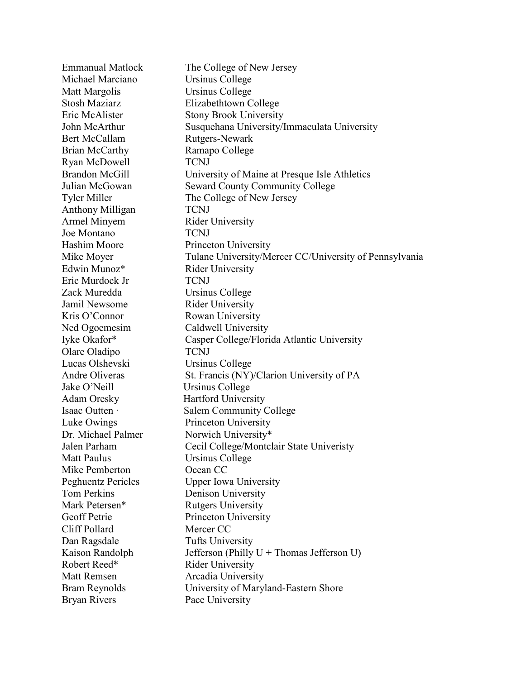Emmanual Matlock The College of New Jersey Michael Marciano Ursinus College Matt Margolis Ursinus College Stosh Maziarz Elizabethtown College Eric McAlister Stony Brook University John McArthur Susquehana University/Immaculata University Bert McCallam Rutgers-Newark Brian McCarthy Ramapo College Ryan McDowell TCNJ Brandon McGill University of Maine at Presque Isle Athletics Julian McGowan Seward County Community College Tyler Miller The College of New Jersey Anthony Milligan TCNJ Armel Minyem Rider University Joe Montano TCNJ Hashim Moore Princeton University Mike Moyer Tulane University/Mercer CC/University of Pennsylvania Edwin Munoz\* Rider University Eric Murdock Jr TCNJ Zack Muredda Ursinus College Jamil Newsome Rider University Kris O'Connor Rowan University Ned Ogoemesim Caldwell University Iyke Okafor\* Casper College/Florida Atlantic University Olare Oladipo TCNJ Lucas Olshevski Ursinus College Andre Oliveras St. Francis (NY)/Clarion University of PA Jake O'Neill Ursinus College Adam Oresky Hartford University Isaac Outten · Salem Community College Luke Owings Princeton University Dr. Michael Palmer Norwich University\* Jalen Parham Cecil College/Montclair State Univeristy Matt Paulus Ursinus College Mike Pemberton Ocean CC Peghuentz Pericles Upper Iowa University Tom Perkins Denison University Mark Petersen\* Rutgers University Geoff Petrie Princeton University Cliff Pollard Mercer CC Dan Ragsdale Tufts University Kaison Randolph Jefferson (Philly U + Thomas Jefferson U) Robert Reed\* Rider University Matt Remsen **Arcadia University** Bram Reynolds University of Maryland-Eastern Shore Bryan Rivers Pace University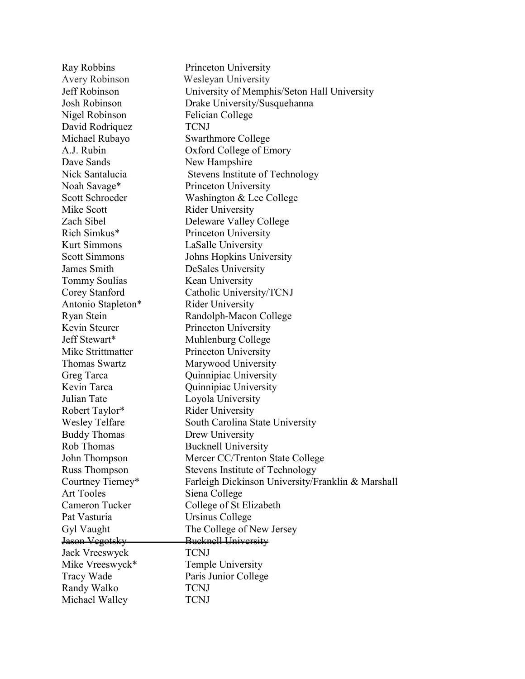| Ray Robbins               | Princeton University                              |
|---------------------------|---------------------------------------------------|
| Avery Robinson            | <b>Wesleyan University</b>                        |
| Jeff Robinson             | University of Memphis/Seton Hall University       |
| Josh Robinson             | Drake University/Susquehanna                      |
| Nigel Robinson            | Felician College                                  |
| David Rodriquez           | <b>TCNJ</b>                                       |
| Michael Rubayo            | <b>Swarthmore College</b>                         |
| A.J. Rubin                | Oxford College of Emory                           |
| Dave Sands                | New Hampshire                                     |
| Nick Santalucia           | Stevens Institute of Technology                   |
| Noah Savage*              | Princeton University                              |
| Scott Schroeder           | Washington & Lee College                          |
| Mike Scott                | <b>Rider University</b>                           |
| Zach Sibel                | Deleware Valley College                           |
| Rich Simkus*              | Princeton University                              |
| <b>Kurt Simmons</b>       | LaSalle University                                |
| <b>Scott Simmons</b>      | Johns Hopkins University                          |
| James Smith               | DeSales University                                |
| Tommy Soulias             | Kean University                                   |
| Corey Stanford            | Catholic University/TCNJ                          |
| Antonio Stapleton*        | <b>Rider University</b>                           |
| Ryan Stein                | Randolph-Macon College                            |
| Kevin Steurer             | Princeton University                              |
| Jeff Stewart*             | Muhlenburg College                                |
| Mike Strittmatter         | Princeton University                              |
| Thomas Swartz             | Marywood University                               |
| Greg Tarca                | Quinnipiac University                             |
| Kevin Tarca               | Quinnipiac University                             |
| Julian Tate               | Loyola University                                 |
| Robert Taylor*            | <b>Rider University</b>                           |
| <b>Wesley Telfare</b>     | South Carolina State University                   |
| <b>Buddy Thomas</b>       | Drew University                                   |
| Rob Thomas                | <b>Bucknell University</b>                        |
| John Thompson             | Mercer CC/Trenton State College                   |
| Russ Thompson             | Stevens Institute of Technology                   |
| Courtney Tierney*         | Farleigh Dickinson University/Franklin & Marshall |
| <b>Art Tooles</b>         | Siena College                                     |
| Cameron Tucker            | College of St Elizabeth                           |
| Pat Vasturia              | Ursinus College                                   |
| Gyl Vaught                | The College of New Jersey                         |
| <del>Jason Vegotsky</del> | <b>Bucknell University</b>                        |
| Jack Vreeswyck            | <b>TCNJ</b>                                       |
| Mike Vreeswyck*           | Temple University                                 |
| <b>Tracy Wade</b>         | Paris Junior College                              |
| Randy Walko               | <b>TCNJ</b>                                       |
| Michael Walley            | TCNJ                                              |